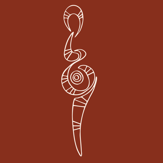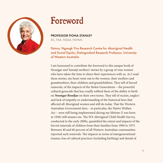

# Foreword

### PROFESSOR FIONA STANLEY

AC, FAA, FASSA, FAHMS

Patron, Ngangk Yira Research Centre for Aboriginal Health and Social Equity; Distinguished Research Professor, University of Western Australia

I am honoured to contribute the foreword to this unique book of Noongar and Yamatji mothers' stories by a group of wise women who have taken the time to share their experiences with us. As I read these stories, my heart went out to the women, their mothers and grandmothers, their children and grandchildren. They tell of forced removals, of the impacts of the Stolen Generations – the powerful cultural genocide that has cruelly robbed them of the ability to birth on **Noongar Boodjar** on their own terms. They tell of racism, neglect and lack of empathy or understanding of the historical laws that affected all Aboriginal women and still do today. That the Western Australian Government laws – in particular, the Native Welfare Act – were still being implemented during my lifetime (I was born in 1946) still amazes me. The WA Aboriginal Child Health Survey, conducted in the early 2000s, quantified the extent and impacts of the forced removals of children from their families from 1900 to 1975. Between 40 and 60 percent of all Western Australian communities reported such removals. The impacts in terms of intergenerational trauma, loss of cultural practices (including birthing) and denial of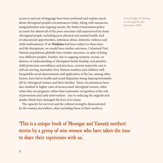access to and use of language have been profound and explain much about Aboriginal people's circumstances today. Along with massacres, marginalisation and ongoing racism, the Stolen Generations policy accounts for almost all of the poor outcomes still experienced by many Aboriginal people, including poor physical and mental health, lack of educational opportunities, substance abuse, domestic violence and child maltreatment. If we **Wadjelas** had been subject to these laws and life disruptions, we would have similar outcomes. Colonised First Nations populations globally have similar outcomes, in spite of being very different peoples. Further, due to ongoing systemic racism, an absence of understanding of Aboriginal family kinship, and punitive child protection surveillance and practices, current maternity care is still not serving Australia's First Nations mothers and children well. Inequitable social determinants and application of the law, among other factors, have led to health and social disparities being disproportionately felt by Aboriginal women and their families. These circumstances have also resulted in higher rates of incarcerated Aboriginal women, often when they are pregnant, rather than systematic recognition of the role of prevention and early intervention – key to reducing the anguish and deaths which have damaged the lives of so many.

The capacity for survival and the cultural strengths demonstrated by the women storytellers, often including those of their mothers,

'This is a unique book of Noongar and Yamatji mothers' stories by a group of wise women who have taken the time to share their experiences with us.'

Aunty Madge Hill, Birthing on Noongar Boodjar Symposium, 2018.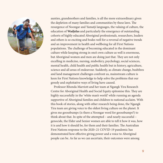

aunties, grandmothers and families, is all the more extraordinary given the depletion of many families and communities by these laws. The resurgence of Noongar and Yamatji languages, the valuing of culture, the education of **Wadjelas** and particularly the emergence of outstanding cohorts of highly educated Aboriginal professionals, researchers, leaders and others is so exciting and bodes well for a reversal of negative trends and an improvement in health and wellbeing for all First Nations populations. The challenge of becoming educated in the dominant culture while keeping strong in one's own culture as well is enormous, but Aboriginal women and men are doing just that. They are not only excelling in medicine, nursing, midwifery, psychology, social sciences, mental health, child health and public health but in history, agriculture, science and all areas of endeavour. Suddenly, as climate change, bushfires and land management challenges confront us, mainstream culture is keen for First Nations knowledge to help solve the problems that our greedy and exploitative ways of living have caused.

Professor Rhonda Marriott and her team at Ngangk Yira Research Centre for Aboriginal Health and Social Equity epitomise this. They are highly successfully in the 'white man's world' while running an agenda supportive of Aboriginal families and children to national acclaim. With this book of stories, along with other research being done, the Ngangk Yira team are giving voice to the oldest living culture on the planet. It gives me goosebumps (is there a Noongar word for goosebumps?) to think about that. In spite of the attempted – and nearly successful – genocide, the Elder and Senior women are able to tell it how it was, how it is and how it should be, for them and their families. The Australian First Nations response to the 2020–21 COVID-19 pandemic has demonstrated how effective giving power and a voice to Aboriginal people can be. As far as we can ascertain, their outcomes were among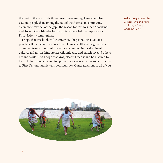the best in the world: six times fewer cases among Australian First Nations people than among the rest of the Australian community – a complete reversal of the gap! The reason for this was that Aboriginal and Torres Strait Islander health professionals led the response for First Nations communities.

I hope that this book will inspire you. I hope that First Nations people will read it and say 'Yes, I can. I am a healthy Aboriginal person grounded firmly in my culture while succeeding in the dominant culture, and my birthing stories will influence and enrich my and others' life and work.' And I hope that **Wadjelas** will read it and be inspired to learn, to have empathy and to oppose the racism which is so detrimental to First Nations families and communities. Congratulations to all of you.

**Middar Yorgas** next to the Derbarl Yerrigan, Birthing on Noongar Boodjar Symposium, 2018.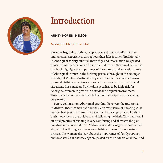

# Introduction

# AUNTY DOREEN NELSON

# Noongar Elder / Co-Editor

Since the beginning of time, people have had many significant roles and personal experiences throughout their life's journey. Traditionally, in Aboriginal society, cultural knowledge and information was passed down through generations. The stories told by the Aboriginal women in this book highlight the importance of the cultural and educational role of Aboriginal women in the birthing process throughout the Noongar Country of Western Australia. They also describe these women's own personal birthing experiences in sometimes very isolated and difficult situations. It is considered by health specialists to be high-risk for Aboriginal women to give birth outside the hospital environment. However, some of these women talk about their experiences as being very natural.

Before colonisation, Aboriginal grandmothers were the traditional midwives. These women had the skills and experience of knowing what was the best practice to use. They also had knowledge of what kinds of bush medicines to use in labour and following the birth. This traditional cultural practice of birthing is very comforting and alleviates the pain and discomfort of childbirth. Midwives would massage the mother and stay with her throughout the whole birthing process. It was a natural process. The women also talk about the importance of family support, and how stories and knowledge are passed on as an educational tool, and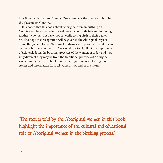how it connects them to Country. One example is the practice of burying the placenta on Country.

It is hoped that this book about Aboriginal woman birthing on Country will be a great educational resource for midwives and for young mothers who may not have support while giving birth to their babies. We also hope that recognition will be given to the Aboriginal ways of doing things, and to the Aboriginal midwives who played a special role in 'women's business' in the past. We would like to highlight the importance of acknowledging the birthing processes of the women of today, and how very different they may be from the traditional practices of Aboriginal women in the past. This book is only the beginning of collecting more stories and information from all women, now and in the future.

'The stories told by the Aboriginal women in this book highlight the importance of the cultural and educational role of Aboriginal women in the birthing process.'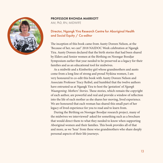

#### PROFESSOR RHONDA MARRIOTT

AM, PhD, RN, MIDWIFE

# Director, Ngangk Yira Research Centre for Aboriginal Health and Social Equity / Co-editor

The inception of this book came from Aunty Doreen Nelson, at the 'Because of her, we can!' 2018 NAIDOC Week celebration at Ngangk Yira. Aunty Doreen declared that the birth stories that had been shared by Elders and Senior women at the Birthing on Noongar Boodjar Symposium earlier that year needed to be preserved as a legacy for their families and as an educational tool for midwives.

As a midwife and a Kimberley girl whose grandmothers and aunts come from a long line of strong and proud Nyikina women, I am very honoured to co-edit this book with Aunty Doreen Nelson and Associate Professor Tracy Reibel, and humbled that the twelve authors have entrusted us at Ngangk Yira to host the 'gestation' of *Ngangk Waangening: Mothers' Stories*. These stories, which remain the copyright of each author, are powerful and real and provide a window of reflection into the life of each mother as she shares her moving, lived experience. We are honoured that each woman has shared this small part of her legacy of lived experience for you to read and to learn from.

During the Birthing on Noongar Boodjar research project, many of the midwives we interviewed<sup>1</sup> asked for something such as a brochure that would direct them to what they needed to know when supporting Aboriginal women and their families. This book provides all of that and more, as we 'hear' from these wise grandmothers who share deeply personal aspects of their life journeys.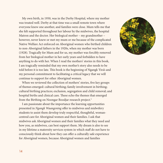My own birth, in 1950, was in the Derby Hospital, where my mother was treated well. Derby at that time was a small remote town where everyone knew one another, and families were close. Mum tells me that she felt supported throughout her labour by the midwives, the hospital Matron and the doctor. Her biological mother – my grandmother – however, never knew or met my mum or me because of the complicated Native Welfare Act enforced on Aboriginal women who birthed children to non-Aboriginal fathers in the 1920s, when my mother was born (1928). Tragically for Mum and for us, my mother was forcibly removed from her biological mother in her early years and forbidden to have anything to do with her. When I read the mothers' stories in this book, I am tragically reminded that my own mother's story also needs to be told before it is too late. This book is the beginning of Ngangk Yira's and my personal commitment to facilitating a critical legacy that we will continue to support for other Aboriginal women.

When we reviewed the collection of mothers' stories, five key groups of themes emerged: cultural birthing; family involvement in birthing; cultural birthing practices; exclusion, segregation and child removal; and hospital births and clinical care. These echo the themes that emerged from the Birthing on Noongar Boodjar research project.2

I am passionate about the importance the learning opportunities presented in *Ngangk Waangening* offer to midwives and midwifery students to assist them develop truly respectful, thoughtful, womancentred care for Aboriginal women and their families. I ask that midwives ask Aboriginal women and their families what they need and how you, as midwives, can best support them. My dream is also to see in my lifetime a maternity services system in which staff do not have to consciously think about how they can offer a culturally safe experience for Aboriginal women, because Aboriginal women and families

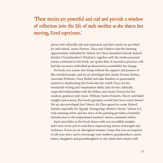# 'These stories are powerful and real and provide a window of reflection into the life of each mother as she shares her moving, lived experience.'

always feel culturally safe and respected, and their needs are provided for and valued. Aunty Doreen, Tracy and I believe that the learning opportunities embodied by Valerie Ah Chee's beautiful artwork *Kabarli Katitjin* ('Grandmother's Wisdom'), together with the twelve personal stories contained in this book, are sparks that, if enacted in practice, will fuel the necessary individual professional accountability for change.

No book ever comes into being without the support and passion of like-minded people, and we are privileged that Aunty Doreen Nelson, Associate Professor Tracy Reibel and Jade Maddox so passionately assisted in shepherding this book into the world: Tracy for her wonderful writing and visualisation skills; Jade for her culturally respectful relationships with the Elders; and Aunty Doreen for her wisdom, guidance and vision. Without Aunty Doreen's, Tracy's and Jade's insights and actions, this book's gestation would have been much slower! We are also privileged that Valerie Ah Chee agreed to create *Kabarli Katitjin* especially for *Ngangk Waangening: Mothers' Stories*. Valerie is a truly amazing artist, and her story of the painting provides a beautiful introduction to the inspirational mothers' stories contained within.

Each storyteller in this book shares with you incredible insights, and I now invite you to read these empowering stories of strength and resilience. If you are an Aboriginal woman, I hope that you are inspired to tell your story and to encourage your mothers, grandmothers, aunts, sisters, daughters and granddaughters to also share their stories with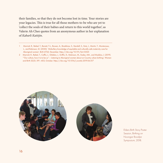their families, so that they do not become lost in time. Your stories are your legacies. This is true for all those mothers-to-be who are yet to 'collect the souls of their babies and return to this world together', as Valerie Ah Chee quotes from an anonymous author in her explanation of *Kabarli Katitjin*.

- 1 Marriott, R., Reibel, T., Barrett, T-L., Bowen, A., Bradshaw, S., Kendall, S., Kotz, J., Martin, T., Monterosso, L., and Robinson, M. (2020). 'Midwifery knowledge of equitable and culturally safe maternity care for Aboriginal women'. *Birth* 47(4). December. https://doi.org/10.1111/birt.12525
- 2 Marriott, R., Reibel, T., Coffin, J., Gliddon, J., Griffin, D., Robinson, M., Eades, AM., and Maddox, J. (2019). '"Our culture, how it is to be us" – Listening to Aboriginal women about on Country urban birthing'. *Women and Birth* 32(5): 391–403, October. https://doi.org/10.1016/j.wombi.2019.06.017





Elders Birth Story Poster Session, Birthing on Noongar Boodjar Symposium, 2018.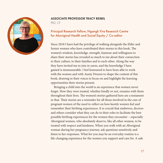

#### ASSOCIATE PROFESSOR TRACY REIBEL PhD, CF

### Principal Research Fellow, Ngangk Yira Research Centre for Aboriginal Health and Social Equity / Co-editor

Since 2018 I have had the privilege of walking alongside the Elder and Senior women who have contributed their stories to this book. The women's wisdom, knowledge, strength, humour and willingness to share their stories has revealed so much to me about their connection to their culture, to their families and to each other. Along the way they have invited me to join in yarns, and the knowledge I have gained is immeasurable. I feel honoured to have been able to work with the women and with Aunty Doreen to shape the content of this book, drawing in their voices to focus on and highlight the learning opportunities their stories present.

Bringing a child into the world is an experience that women never forget. How they were treated, whether kindly or not, remains with them throughout their lives. The women's stories gathered here are a testament to that. Their stories are a reminder for all those involved in the care of pregnant women of the need to reflect on how keenly women feel and remember their birthing experiences. It is crucial that midwives, doctors and others consider what they can do in their roles to facilitate the best possible birthing experiences for the women they encounter – especially Aboriginal women, who absolutely deserve, like all other women, to be treated with respect and kindness. When you walk with an Aboriginal woman during her pregnancy journey, ask questions sensitively and listen to her responses. What for you may be an everyday routine is a life-changing experience for the women you support and care for. A safe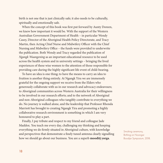birth is not one that is just clinically safe; it also needs to be culturally, spiritually and emotionally safe.

When the concept of this book was first put forward by Aunty Doreen, we knew how important it would be. With the support of the Western Australian Government Department of Health – in particular Wendy Casey, Director of the Aboriginal Health Policy Directorate, and Tracy Martin, then Acting Chief Nurse and Midwifery Officer with the Chief Nursing and Midwifery Office – the funds were provided to underwrite the publication. Both Wendy and Tracy regarded the publication of *Ngangk Waangening* as an important educational resource to be used across the health system and in university settings – bringing the lived experiences of these wise women to the attention of those responsible for providing care during the highly significant life event of child-bearing.

To have an idea is one thing; to have the means to carry an idea to fruition is another thing entirely. At Ngangk Yira we are immensely grateful for the ongoing support we receive from the Elders who generously collaborate with us in our research and advocacy endeavours; to Aboriginal communities across Western Australia for their willingness to be involved in our research efforts; and to the network of Aboriginal and non-Aboriginal colleagues who tangibly contribute to everything we do. No journey is walked alone, and the leadership that Professor Rhonda Marriott has brought to creating Ngangk Yira and promoting a highly collaborative research environment is something in which I am very honoured to play a part.

Finally, I pay tribute and respect to my friend and colleague Jade Maddox. You teach me every day, challenging my thinking and keeping everything we do firmly situated in Aboriginal culture, with knowledge and perspectives that demonstrate a finely tuned antenna clearly signalling how we should go about our business. You are a superb **mooditj yorga**.

Smoking ceremony, Birthing on Noongar Boodjar Symposium, 2018.